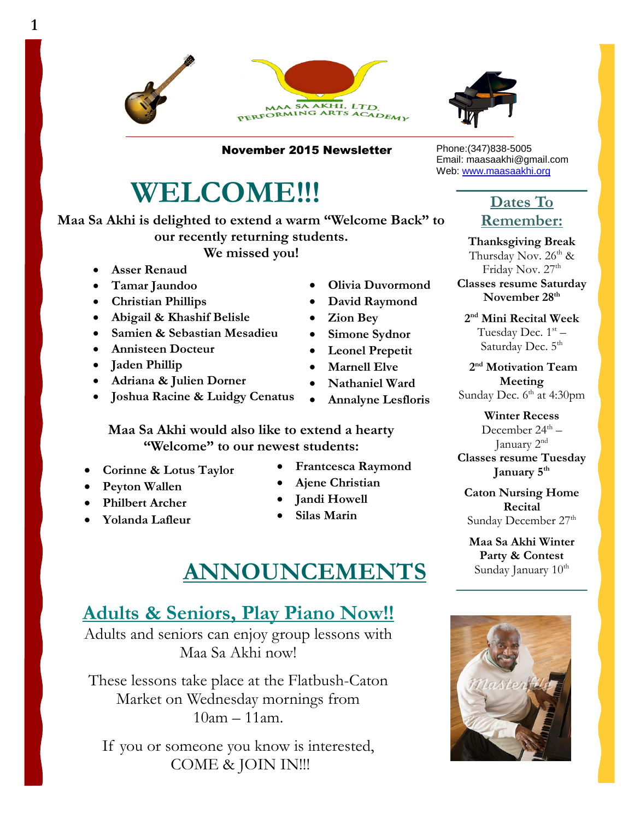



November 2015 Newsletter

# **WELCOME!!!**

**Maa Sa Akhi is delighted to extend a warm "Welcome Back" to our recently returning students.** 

**We missed you!** 

**Asser Renaud**

**1**

- **Tamar Jaundoo**
- **Christian Phillips**
- **Abigail & Khashif Belisle**
- **Samien & Sebastian Mesadieu**
- **Annisteen Docteur**
- **Jaden Phillip**
- **Adriana & Julien Dorner**
- **Joshua Racine & Luidgy Cenatus**
- **Olivia Duvormond David Raymond**
- **Zion Bey**
- **Simone Sydnor**
- **Leonel Prepetit**
- **Marnell Elve**
- **Nathaniel Ward**
- **Annalyne Lesfloris**

**Maa Sa Akhi would also like to extend a hearty "Welcome" to our newest students:**

- **Corinne & Lotus Taylor**
- **Peyton Wallen**
- **Philbert Archer**
- **Yolanda Lafleur**
- **Frantcesca Raymond**
- **Ajene Christian**
- **Jandi Howell**
- **Silas Marin**

## **ANNOUNCEMENTS**

## **Adults & Seniors, Play Piano Now!!**

Adults and seniors can enjoy group lessons with Maa Sa Akhi now!

These lessons take place at the Flatbush-Caton Market on Wednesday mornings from 10am – 11am.

If you or someone you know is interested, COME & JOIN IN!!!

Phone:(347)838-5005 Email: maasaakhi@gmail.com Web: [www.maasaakhi.org](http://www.maasaakhi.org/)

## **Dates To Remember:**

**Thanksgiving Break** Thursday Nov.  $26^{th}$  & Friday Nov. 27<sup>th</sup> **Classes resume Saturday November 28th**

**2 nd Mini Recital Week**  Tuesday Dec. 1st –

Saturday Dec. 5<sup>th</sup>

**2 nd Motivation Team Meeting** Sunday Dec. 6<sup>th</sup> at 4:30pm

**Winter Recess** December 24<sup>th</sup> – January 2<sup>nd</sup> **Classes resume Tuesday January 5th**

**Caton Nursing Home Recital** Sunday December 27<sup>th</sup>

**Maa Sa Akhi Winter Party & Contest** Sunday January  $10<sup>th</sup>$ 

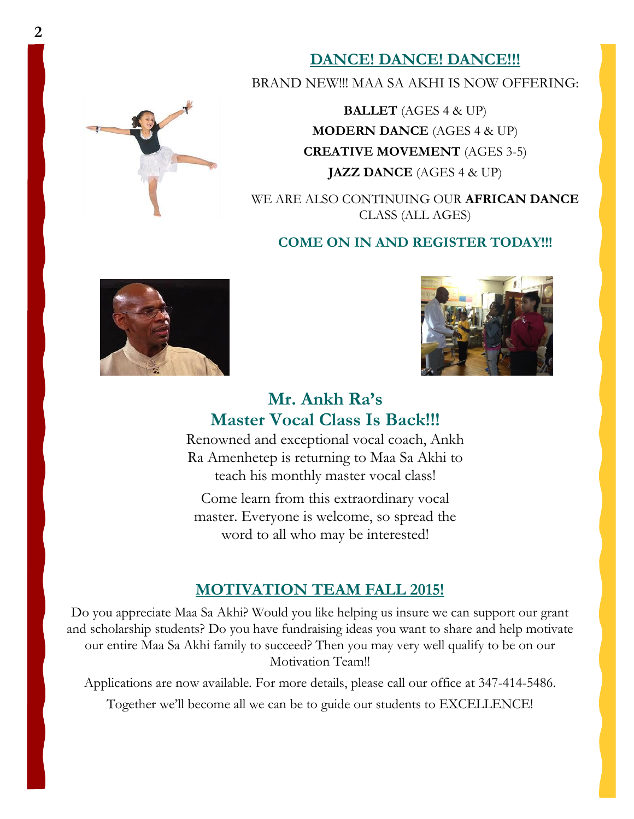

**DANCE! DANCE! DANCE!!!**

BRAND NEW!!! MAA SA AKHI IS NOW OFFERING:

**BALLET** (AGES 4 & UP) **MODERN DANCE** (AGES 4 & UP) **CREATIVE MOVEMENT** (AGES 3-5) **JAZZ DANCE** (AGES 4 & UP)

WE ARE ALSO CONTINUING OUR **AFRICAN DANCE** CLASS (ALL AGES)

#### **COME ON IN AND REGISTER TODAY!!!**





## **Mr. Ankh Ra's Master Vocal Class Is Back!!!**

Renowned and exceptional vocal coach, Ankh Ra Amenhetep is returning to Maa Sa Akhi to teach his monthly master vocal class!

Come learn from this extraordinary vocal master. Everyone is welcome, so spread the word to all who may be interested!

### **MOTIVATION TEAM FALL 2015!**

Do you appreciate Maa Sa Akhi? Would you like helping us insure we can support our grant and scholarship students? Do you have fundraising ideas you want to share and help motivate our entire Maa Sa Akhi family to succeed? Then you may very well qualify to be on our Motivation Team!!

Applications are now available. For more details, please call our office at 347-414-5486.

Together we'll become all we can be to guide our students to EXCELLENCE!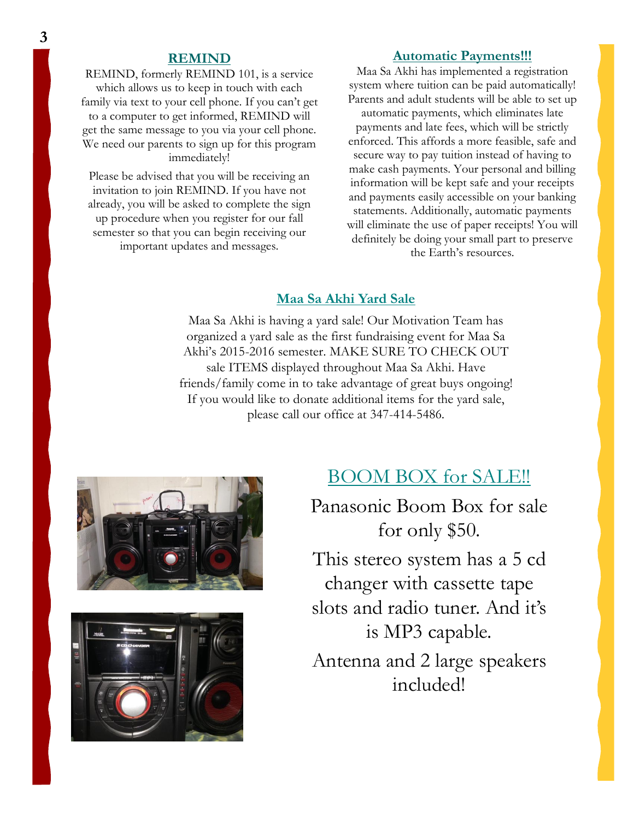#### **REMIND**

REMIND, formerly REMIND 101, is a service which allows us to keep in touch with each family via text to your cell phone. If you can't get to a computer to get informed, REMIND will get the same message to you via your cell phone. We need our parents to sign up for this program immediately!

Please be advised that you will be receiving an invitation to join REMIND. If you have not already, you will be asked to complete the sign up procedure when you register for our fall semester so that you can begin receiving our important updates and messages.

#### **Automatic Payments!!!**

Maa Sa Akhi has implemented a registration system where tuition can be paid automatically! Parents and adult students will be able to set up automatic payments, which eliminates late payments and late fees, which will be strictly enforced. This affords a more feasible, safe and secure way to pay tuition instead of having to make cash payments. Your personal and billing information will be kept safe and your receipts and payments easily accessible on your banking statements. Additionally, automatic payments will eliminate the use of paper receipts! You will definitely be doing your small part to preserve the Earth's resources.

#### **Maa Sa Akhi Yard Sale**

Maa Sa Akhi is having a yard sale! Our Motivation Team has organized a yard sale as the first fundraising event for Maa Sa Akhi's 2015-2016 semester. MAKE SURE TO CHECK OUT sale ITEMS displayed throughout Maa Sa Akhi. Have friends/family come in to take advantage of great buys ongoing! If you would like to donate additional items for the yard sale, please call our office at 347-414-5486.





## BOOM BOX for SALE!!

Panasonic Boom Box for sale for only \$50.

This stereo system has a 5 cd changer with cassette tape slots and radio tuner. And it's is MP3 capable.

Antenna and 2 large speakers included!